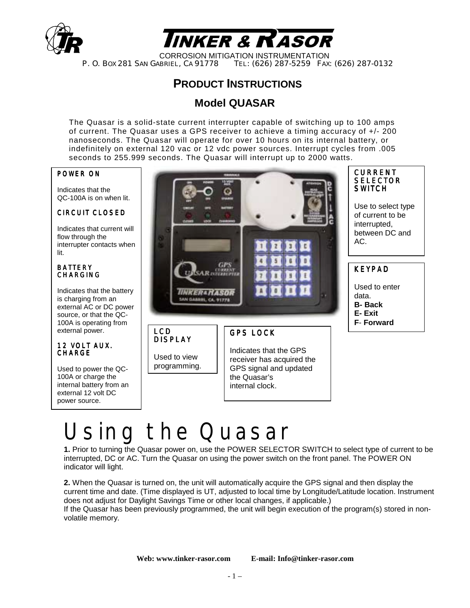



CORROSION MITIGATION INSTRUMENTATION<br>P. O. Box 281 San Gabriel, Ca 91778 Tel: (626) 287-5259 Fax: TEL: (626) 287-5259 FAX: (626) 287-0132

### **PRODUCT INSTRUCTIONS**

#### **Model QUASAR**

The Quasar is a solid-state current interrupter capable of switching up to 100 amps of current. The Quasar uses a GPS receiver to achieve a timing accuracy of +/- 200 nanoseconds. The Quasar will operate for over 10 hours on its internal battery, or indefinitely on external 120 vac or 12 vdc power sources. Interrupt cycles from .005 seconds to 255.999 seconds. The Quasar will interrupt up to 2000 watts.

#### POWER ON

Indicates that the QC-100A is on when lit.

#### CIRCUIT CLOSED

Indicates that current will flow through the interrupter contacts when lit.

#### **BATTERY** CHARGING

Indicates that the battery is charging from an external AC or DC power source, or that the QC-100A is operating from external power.

#### 12 VOLT AUX. CHARGE

Used to power the QC-100A or charge the internal battery from an external 12 volt DC power source.



DISPLAY

Used to view programming.

#### GPS LOCK

Indicates that the GPS receiver has acquired the GPS signal and updated the Quasar's internal clock.

# Ising the Quasar

**1.** Prior to turning the Quasar power on, use the POWER SELECTOR SWITCH to select type of current to be interrupted, DC or AC. Turn the Quasar on using the power switch on the front panel. The POWER ON indicator will light.

**2.** When the Quasar is turned on, the unit will automatically acquire the GPS signal and then display the current time and date. (Time displayed is UT, adjusted to local time by Longitude/Latitude location. Instrument does not adjust for Daylight Savings Time or other local changes, if applicable.)

If the Quasar has been previously programmed, the unit will begin execution of the program(s) stored in nonvolatile memory.

**Web: www.tinker-rasor.com E-mail: Info@tinker-rasor.com**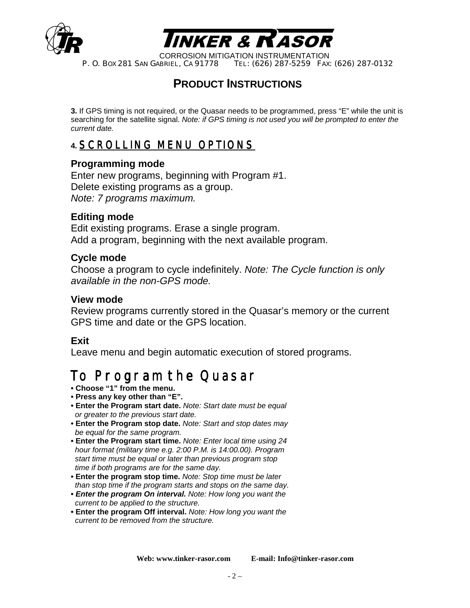



CORROSION MITIGATION INSTRUMENTATION<br>P. O. Box 281 SAN GABRIEL, CA 91778 TEL: (626) 287-5259 FAX TEL: (626) 287-5259 FAX: (626) 287-0132

### **PRODUCT INSTRUCTIONS**

**3.** If GPS timing is not required, or the Quasar needs to be programmed, press "E" while the unit is searching for the satellite signal. *Note: if GPS timing is not used you will be prompted to enter the current date.* 

### **4.** SCROLLING MENU OPTIONS

#### **Programming mode**

Enter new programs, beginning with Program #1. Delete existing programs as a group. *Note: 7 programs maximum.* 

#### **Editing mode**

Edit existing programs. Erase a single program. Add a program, beginning with the next available program.

#### **Cycle mode**

Choose a program to cycle indefinitely. *Note: The Cycle function is only available in the non-GPS mode.* 

#### **View mode**

Review programs currently stored in the Quasar's memory or the current GPS time and date or the GPS location.

#### **Exit**

Leave menu and begin automatic execution of stored programs.

### To Program the Quasar

- **Choose "1" from the menu.**
- **Press any key other than "E".**
- **Enter the Program start date.** *Note: Start date must be equal or greater to the previous start date.*
- **Enter the Program stop date.** *Note: Start and stop dates may be equal for the same program.*
- **Enter the Program start time.** *Note: Enter local time using 24 hour format (military time e.g. 2:00 P.M. is 14:00.00). Program start time must be equal or later than previous program stop time if both programs are for the same day.*
- **Enter the program stop time.** *Note: Stop time must be later than stop time if the program starts and stops on the same day.*
- *Enter the program On interval. Note: How long you want the current to be applied to the structure.*
- **Enter the program Off interval.** *Note: How long you want the current to be removed from the structure.*

**Web: www.tinker-rasor.com E-mail: Info@tinker-rasor.com**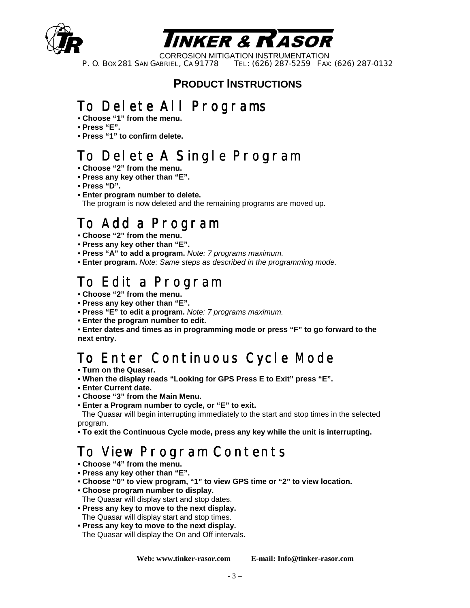



CORROSION MITIGATION INSTRUMENTATION<br>P. O. Box 281 SAN GABRIEL, CA 91778 TEL: (626) 287-5259 FAX TEL: (626) 287-5259 FAX: (626) 287-0132

### **PRODUCT INSTRUCTIONS**

# To Delete All Programs

- **Choose "1" from the menu.**
- **Press "E".**
- **Press "1" to confirm delete.**

# To Delete A Single Program

- **Choose "2" from the menu.**
- **Press any key other than "E".**
- **Press "D".**
- **Enter program number to delete.**

The program is now deleted and the remaining programs are moved up.

### To Add a Program

- **Choose "2" from the menu.**
- **Press any key other than "E".**
- **Press "A" to add a program.** *Note: 7 programs maximum.*
- **Enter program.** *Note: Same steps as described in the programming mode.*

## To Edit a Program

- **Choose "2" from the menu.**
- **Press any key other than "E".**
- **Press "E" to edit a program.** *Note: 7 programs maximum.*
- **Enter the program number to edit.**

**• Enter dates and times as in programming mode or press "F" to go forward to the next entry.** 

### To Enter Continuous Cycle Mode

- **Turn on the Quasar.**
- **When the display reads "Looking for GPS Press E to Exit" press "E".**
- **Enter Current date.**
- **Choose "3" from the Main Menu.**
- **Enter a Program number to cycle, or "E" to exit.**

The Quasar will begin interrupting immediately to the start and stop times in the selected program.

**• To exit the Continuous Cycle mode, press any key while the unit is interrupting.** 

# To View Program Contents

- **Choose "4" from the menu.**
- **Press any key other than "E".**
- **Choose "0" to view program, "1" to view GPS time or "2" to view location.**
- **Choose program number to display.**
- The Quasar will display start and stop dates.
- **Press any key to move to the next display.** The Quasar will display start and stop times.
- **Press any key to move to the next display.** The Quasar will display the On and Off intervals.

**Web: www.tinker-rasor.com E-mail: Info@tinker-rasor.com**